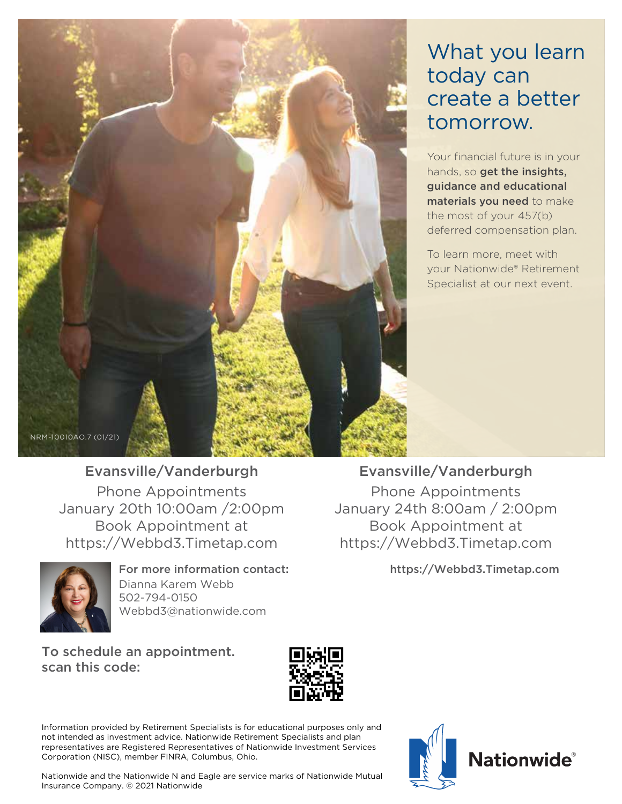

# What you learn today can create a better tomorrow.

Your financial future is in your hands, so get the insights, guidance and educational materials you need to make the most of your 457(b) deferred compensation plan.

To learn more, meet with your Nationwide® Retirement Specialist at our next event.

# Evansville/Vanderburgh

Phone Appointments January 20th 10:00am /2:00pm Book Appointment at https://Webbd3.Timetap.com



For more information contact: Dianna Karem Webb 502-794-0150 Webbd3@nationwide.com

To schedule an appointment. scan this code:



Information provided by Retirement Specialists is for educational purposes only and not intended as investment advice. Nationwide Retirement Specialists and plan representatives are Registered Representatives of Nationwide Investment Services Corporation (NISC), member FINRA, Columbus, Ohio.



Evansville/Vanderburgh

Phone Appointments January 24th 8:00am / 2:00pm Book Appointment at https://Webbd3.Timetap.com

https://Webbd3.Timetap.com



Nationwide and the Nationwide N and Eagle are service marks of Nationwide Mutual Insurance Company. © 2021 Nationwide